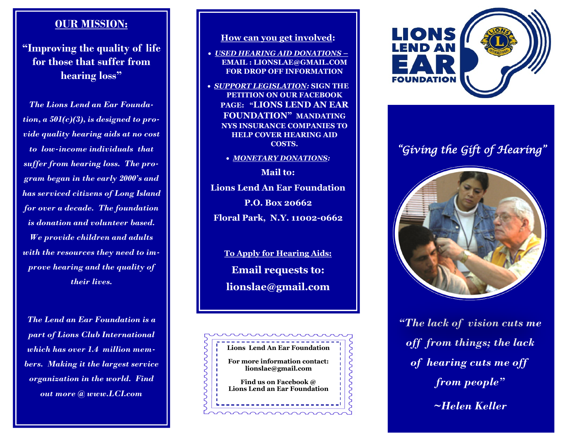## **OUR MISSION:**

**"Improving the quality of life for those that suffer from hearing loss"**

*The Lions Lend an Ear Foundation, a 501(c)(3), is designed to provide quality hearing aids at no cost to low-income individuals that suffer from hearing loss. The program began in the early 2000's and has serviced citizens of Long Island for over a decade. The foundation is donation and volunteer based. We provide children and adults with the resources they need to improve hearing and the quality of their lives.*

*The Lend an Ear Foundation is a part of Lions Club International which has over 1.4 million members. Making it the largest service organization in the world. Find out more @ www.LCI.com*

### **How can you get involved:**

- •*USED HEARING AID DONATIONS –* **EMAIL : LIONSLAE@GMAIL.COM FOR DROP OFF INFORMATION**
- • *SUPPORT LEGISLATION:* **SIGN THE PETITION ON OUR FACEBOOK PAGE: "LIONS LEND AN EAR FOUNDATION" MANDATING NYS INSURANCE COMPANIES TO HELP COVER HEARING AID COSTS.** 
	- • *MONETARY DONATIONS:*

**Mail to: Lions Lend An Ear Foundation P.O. Box 20662 Floral Park, N.Y. 11002-0662**

> **To Apply for Hearing Aids: Email requests to: lionslae@gmail.com**





# *"Giving the Gift of Hearing"*



*"The lack of vision cuts me off from things; the lack of hearing cuts me off from people" ~Helen Keller*